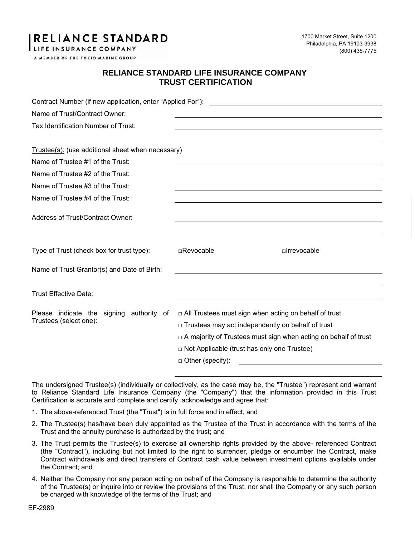## **RELIANCE STANDARD**

LIFE INSURANCE COMPANY

1700 Market Street, Suite 1200 Philadelphia, PA 19103-3938 (800) 435-7775

A MEMBER OF THE TOKIO MARINE GROUP

## **RELIANCE STANDARD LIFE INSURANCE COMPANY TRUST CERTIFICATION**

| Contract Number (if new application, enter "Applied For"):         |                                                                                                                                                                                                                                                                                |              |  |
|--------------------------------------------------------------------|--------------------------------------------------------------------------------------------------------------------------------------------------------------------------------------------------------------------------------------------------------------------------------|--------------|--|
| Name of Trust/Contract Owner:                                      |                                                                                                                                                                                                                                                                                |              |  |
| Tax Identification Number of Trust:                                |                                                                                                                                                                                                                                                                                |              |  |
|                                                                    |                                                                                                                                                                                                                                                                                |              |  |
| Trustee(s): (use additional sheet when necessary)                  |                                                                                                                                                                                                                                                                                |              |  |
| Name of Trustee #1 of the Trust:                                   |                                                                                                                                                                                                                                                                                |              |  |
| Name of Trustee #2 of the Trust:                                   |                                                                                                                                                                                                                                                                                |              |  |
| Name of Trustee #3 of the Trust:                                   |                                                                                                                                                                                                                                                                                |              |  |
| Name of Trustee #4 of the Trust:                                   |                                                                                                                                                                                                                                                                                |              |  |
| Address of Trust/Contract Owner:                                   |                                                                                                                                                                                                                                                                                |              |  |
| Type of Trust (check box for trust type):                          | $\Box$ Revocable                                                                                                                                                                                                                                                               | □Irrevocable |  |
| Name of Trust Grantor(s) and Date of Birth:                        |                                                                                                                                                                                                                                                                                |              |  |
| <b>Trust Effective Date:</b>                                       |                                                                                                                                                                                                                                                                                |              |  |
| Please indicate the signing authority of<br>Trustees (select one): | $\Box$ All Trustees must sign when acting on behalf of trust<br>$\Box$ Trustees may act independently on behalf of trust<br>$\Box$ A majority of Trustees must sign when acting on behalf of trust<br>$\Box$ Not Applicable (trust has only one Trustee)<br>D Other (specify): |              |  |

The undersigned Trustee(s) (individually or collectively, as the case may be, the "Trustee") represent and warrant to Reliance Standard Life Insurance Company (the "Company") that the information provided in this Trust Certification is accurate and complete and certify, acknowledge and agree that:

- 1. The above-referenced Trust (the "Trust") is in full force and in effect; and
- 2. The Trustee(s) has/have been duly appointed as the Trustee of the Trust in accordance with the terms of the Trust and the annuity purchase is authorized by the trust; and
- 3. The Trust permits the Trustee(s) to exercise all ownership rights provided by the above- referenced Contract (the "Contract"), including but not limited to the right to surrender, pledge or encumber the Contract, make Contract withdrawals and direct transfers of Contract cash value between investment options available under the Contract; and
- 4. Neither the Company nor any person acting on behalf of the Company is responsible to determine the authority of the Trustee(s) or inquire into or review the provisions of the Trust, nor shall the Company or any such person be charged with knowledge of the terms of the Trust; and